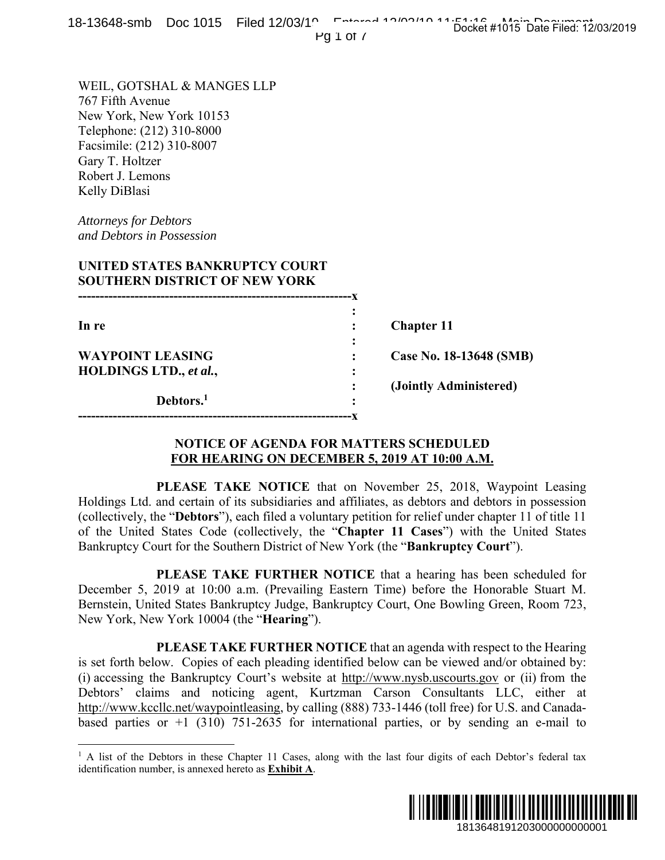Pg  $1$  of  $7$ 

WEIL, GOTSHAL & MANGES LLP 767 Fifth Avenue New York, New York 10153 Telephone: (212) 310-8000 Facsimile: (212) 310-8007 Gary T. Holtzer Robert J. Lemons Kelly DiBlasi

*Attorneys for Debtors and Debtors in Possession* 

 $\overline{a}$ 

## **UNITED STATES BANKRUPTCY COURT SOUTHERN DISTRICT OF NEW YORK**

| In re                   |   | <b>Chapter 11</b>       |
|-------------------------|---|-------------------------|
|                         | ٠ |                         |
| <b>WAYPOINT LEASING</b> |   | Case No. 18-13648 (SMB) |
| HOLDINGS LTD., et al.,  | ٠ |                         |
|                         |   | (Jointly Administered)  |
| Debtors. <sup>1</sup>   | ٠ |                         |
|                         |   |                         |

## **NOTICE OF AGENDA FOR MATTERS SCHEDULED FOR HEARING ON DECEMBER 5, 2019 AT 10:00 A.M.**

 **PLEASE TAKE NOTICE** that on November 25, 2018, Waypoint Leasing Holdings Ltd. and certain of its subsidiaries and affiliates, as debtors and debtors in possession (collectively, the "**Debtors**"), each filed a voluntary petition for relief under chapter 11 of title 11 of the United States Code (collectively, the "**Chapter 11 Cases**") with the United States Bankruptcy Court for the Southern District of New York (the "**Bankruptcy Court**").

 **PLEASE TAKE FURTHER NOTICE** that a hearing has been scheduled for December 5, 2019 at 10:00 a.m. (Prevailing Eastern Time) before the Honorable Stuart M. Bernstein, United States Bankruptcy Judge, Bankruptcy Court, One Bowling Green, Room 723, New York, New York 10004 (the "**Hearing**").

 **PLEASE TAKE FURTHER NOTICE** that an agenda with respect to the Hearing is set forth below. Copies of each pleading identified below can be viewed and/or obtained by: (i) accessing the Bankruptcy Court's website at http://www.nysb.uscourts.gov or (ii) from the Debtors' claims and noticing agent, Kurtzman Carson Consultants LLC, either at http://www.kccllc.net/waypointleasing, by calling (888) 733-1446 (toll free) for U.S. and Canadabased parties or  $+1$  (310) 751-2635 for international parties, or by sending an e-mail to **1913648 (SMB)**<br> **1913648 (SMB)**<br> **1913648 (SMB)**<br> **1913648 (SMB)**<br> **1913648** (SMB)<br> **1913648** (SMB)<br> **191461**<br> **191564** The United States<br> **191564** Court").<br> **1915649** (Supervilled for the Honorable Stuart M.<br> **1918649**

<sup>&</sup>lt;sup>1</sup> A list of the Debtors in these Chapter 11 Cases, along with the last four digits of each Debtor's federal tax identification number, is annexed hereto as **Exhibit A**.

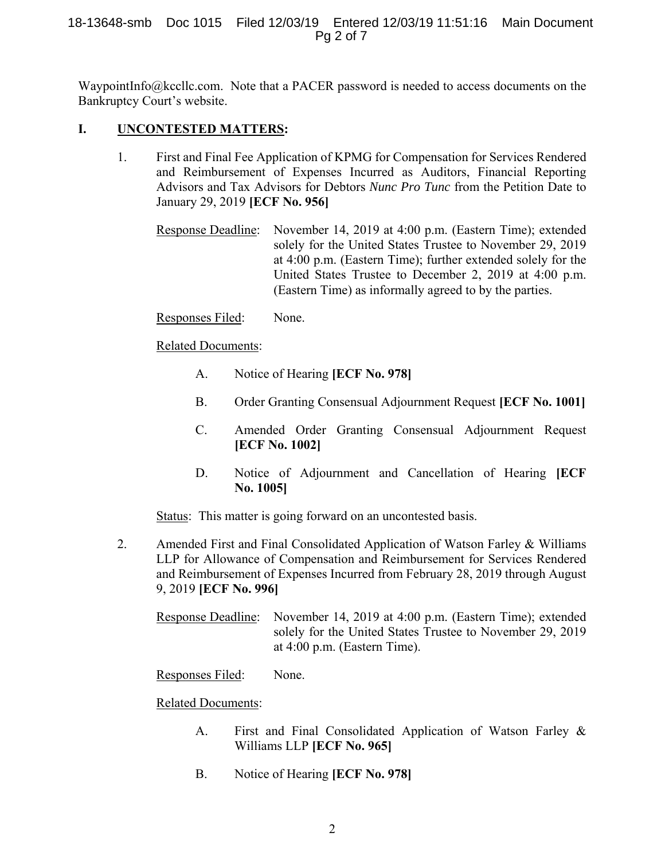WaypointInfo@kccllc.com. Note that a PACER password is needed to access documents on the Bankruptcy Court's website.

## **I. UNCONTESTED MATTERS:**

- 1. First and Final Fee Application of KPMG for Compensation for Services Rendered and Reimbursement of Expenses Incurred as Auditors, Financial Reporting Advisors and Tax Advisors for Debtors *Nunc Pro Tunc* from the Petition Date to January 29, 2019 **[ECF No. 956]** 
	- Response Deadline: November 14, 2019 at 4:00 p.m. (Eastern Time); extended solely for the United States Trustee to November 29, 2019 at 4:00 p.m. (Eastern Time); further extended solely for the United States Trustee to December 2, 2019 at 4:00 p.m. (Eastern Time) as informally agreed to by the parties.

## Responses Filed: None.

## Related Documents:

- A. Notice of Hearing **[ECF No. 978]**
- B. Order Granting Consensual Adjournment Request **[ECF No. 1001]**
- C. Amended Order Granting Consensual Adjournment Request **[ECF No. 1002]**
- D. Notice of Adjournment and Cancellation of Hearing **[ECF No. 1005]**

Status: This matter is going forward on an uncontested basis.

- 2. Amended First and Final Consolidated Application of Watson Farley & Williams LLP for Allowance of Compensation and Reimbursement for Services Rendered and Reimbursement of Expenses Incurred from February 28, 2019 through August 9, 2019 **[ECF No. 996]**
	- Response Deadline: November 14, 2019 at 4:00 p.m. (Eastern Time); extended solely for the United States Trustee to November 29, 2019 at 4:00 p.m. (Eastern Time).

# Responses Filed: None.

# Related Documents:

- A. First and Final Consolidated Application of Watson Farley & Williams LLP **[ECF No. 965]**
- B. Notice of Hearing **[ECF No. 978]**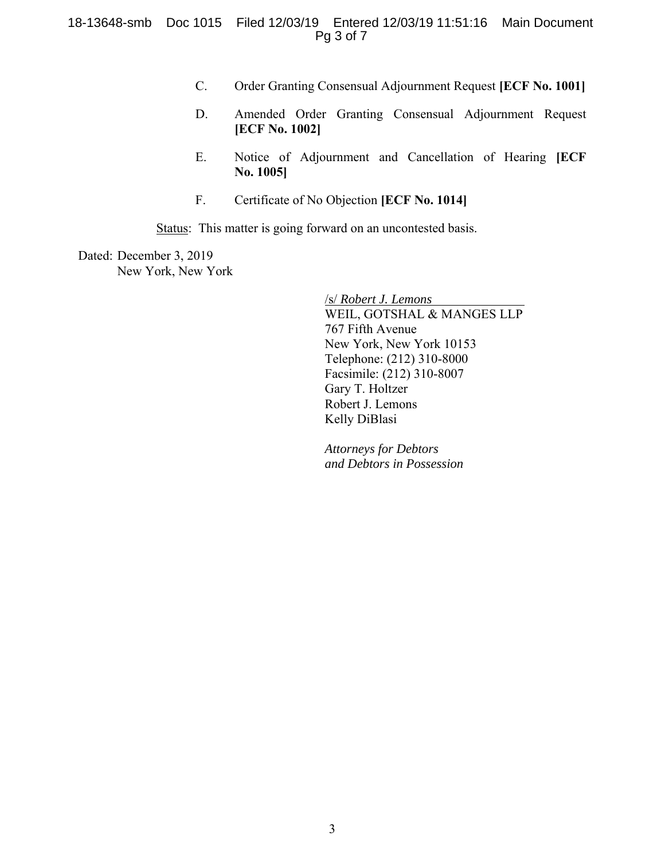- C. Order Granting Consensual Adjournment Request **[ECF No. 1001]**
- D. Amended Order Granting Consensual Adjournment Request **[ECF No. 1002]**
- E. Notice of Adjournment and Cancellation of Hearing **[ECF No. 1005]**
- F. Certificate of No Objection **[ECF No. 1014]**

Status: This matter is going forward on an uncontested basis.

Dated: December 3, 2019 New York, New York

> /s/ *Robert J. Lemons* WEIL, GOTSHAL & MANGES LLP 767 Fifth Avenue New York, New York 10153 Telephone: (212) 310-8000 Facsimile: (212) 310-8007 Gary T. Holtzer Robert J. Lemons Kelly DiBlasi

*Attorneys for Debtors and Debtors in Possession*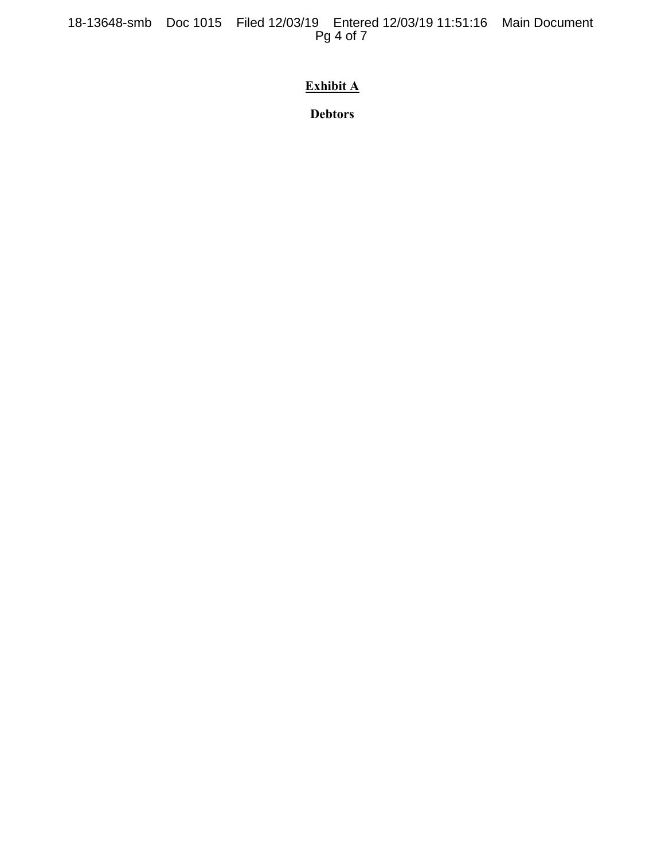18-13648-smb Doc 1015 Filed 12/03/19 Entered 12/03/19 11:51:16 Main Document Pg 4 of 7

# **Exhibit A**

**Debtors**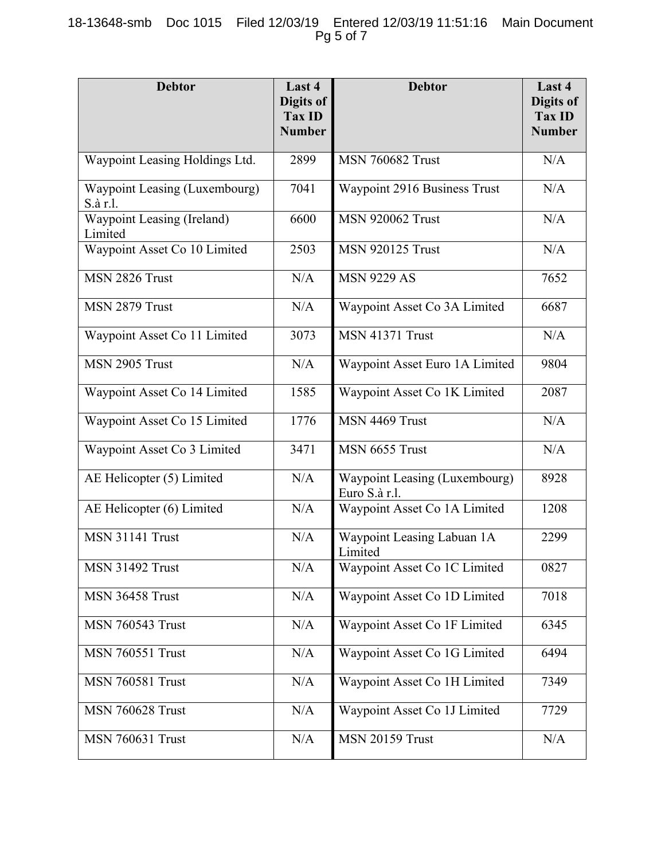### 18-13648-smb Doc 1015 Filed 12/03/19 Entered 12/03/19 11:51:16 Main Document Pg 5 of 7

| <b>Debtor</b>                             | Last 4<br>Digits of<br><b>Tax ID</b><br><b>Number</b> | <b>Debtor</b>                                  | Last 4<br>Digits of<br><b>Tax ID</b><br><b>Number</b> |
|-------------------------------------------|-------------------------------------------------------|------------------------------------------------|-------------------------------------------------------|
| Waypoint Leasing Holdings Ltd.            | 2899                                                  | <b>MSN 760682 Trust</b>                        | N/A                                                   |
| Waypoint Leasing (Luxembourg)<br>S.à r.l. | 7041                                                  | Waypoint 2916 Business Trust                   | N/A                                                   |
| Waypoint Leasing (Ireland)<br>Limited     | 6600                                                  | <b>MSN 920062 Trust</b>                        | N/A                                                   |
| Waypoint Asset Co 10 Limited              | 2503                                                  | <b>MSN 920125 Trust</b>                        | N/A                                                   |
| MSN 2826 Trust                            | N/A                                                   | <b>MSN 9229 AS</b>                             | 7652                                                  |
| MSN 2879 Trust                            | N/A                                                   | Waypoint Asset Co 3A Limited                   | 6687                                                  |
| Waypoint Asset Co 11 Limited              | 3073                                                  | <b>MSN 41371 Trust</b>                         | N/A                                                   |
| MSN 2905 Trust                            | N/A                                                   | Waypoint Asset Euro 1A Limited                 | 9804                                                  |
| Waypoint Asset Co 14 Limited              | 1585                                                  | Waypoint Asset Co 1K Limited                   | 2087                                                  |
| Waypoint Asset Co 15 Limited              | 1776                                                  | MSN 4469 Trust                                 | N/A                                                   |
| Waypoint Asset Co 3 Limited               | 3471                                                  | MSN 6655 Trust                                 | N/A                                                   |
| AE Helicopter (5) Limited                 | N/A                                                   | Waypoint Leasing (Luxembourg)<br>Euro S.à r.l. | 8928                                                  |
| AE Helicopter (6) Limited                 | N/A                                                   | Waypoint Asset Co 1A Limited                   | 1208                                                  |
| <b>MSN 31141 Trust</b>                    | N/A                                                   | Waypoint Leasing Labuan 1A<br>Limited          | 2299                                                  |
| <b>MSN 31492 Trust</b>                    | N/A                                                   | Waypoint Asset Co 1C Limited                   | 0827                                                  |
| MSN 36458 Trust                           | N/A                                                   | Waypoint Asset Co 1D Limited                   | 7018                                                  |
| <b>MSN 760543 Trust</b>                   | N/A                                                   | Waypoint Asset Co 1F Limited                   | 6345                                                  |
| <b>MSN 760551 Trust</b>                   | N/A                                                   | Waypoint Asset Co 1G Limited                   | 6494                                                  |
| <b>MSN 760581 Trust</b>                   | N/A                                                   | Waypoint Asset Co 1H Limited                   | 7349                                                  |
| <b>MSN 760628 Trust</b>                   | N/A                                                   | Waypoint Asset Co 1J Limited                   | 7729                                                  |
| <b>MSN 760631 Trust</b>                   | N/A                                                   | <b>MSN 20159 Trust</b>                         | N/A                                                   |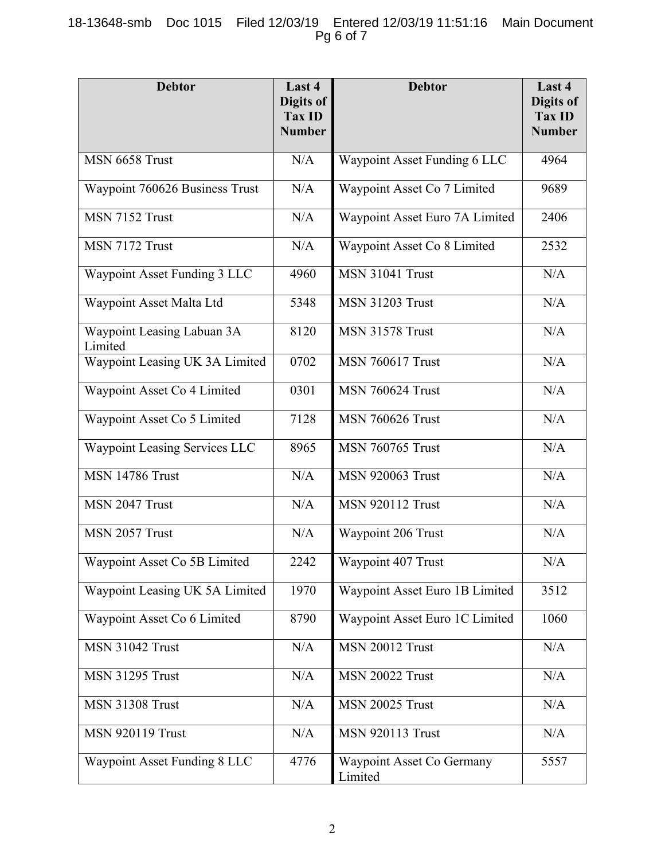## 18-13648-smb Doc 1015 Filed 12/03/19 Entered 12/03/19 11:51:16 Main Document Pg 6 of 7

| <b>Debtor</b>                         | Last 4<br>Digits of<br>Tax ID<br><b>Number</b> | <b>Debtor</b>                        | Last 4<br>Digits of<br><b>Tax ID</b><br><b>Number</b> |
|---------------------------------------|------------------------------------------------|--------------------------------------|-------------------------------------------------------|
| MSN 6658 Trust                        | N/A                                            | Waypoint Asset Funding 6 LLC         | 4964                                                  |
| Waypoint 760626 Business Trust        | N/A                                            | Waypoint Asset Co 7 Limited          | 9689                                                  |
| MSN 7152 Trust                        | N/A                                            | Waypoint Asset Euro 7A Limited       | 2406                                                  |
| MSN 7172 Trust                        | N/A                                            | Waypoint Asset Co 8 Limited          | 2532                                                  |
| Waypoint Asset Funding 3 LLC          | 4960                                           | <b>MSN 31041 Trust</b>               | N/A                                                   |
| Waypoint Asset Malta Ltd              | 5348                                           | <b>MSN 31203 Trust</b>               | N/A                                                   |
| Waypoint Leasing Labuan 3A<br>Limited | 8120                                           | <b>MSN 31578 Trust</b>               | N/A                                                   |
| Waypoint Leasing UK 3A Limited        | 0702                                           | <b>MSN 760617 Trust</b>              | N/A                                                   |
| Waypoint Asset Co 4 Limited           | 0301                                           | <b>MSN 760624 Trust</b>              | N/A                                                   |
| Waypoint Asset Co 5 Limited           | 7128                                           | <b>MSN 760626 Trust</b>              | N/A                                                   |
| Waypoint Leasing Services LLC         | 8965                                           | <b>MSN 760765 Trust</b>              | N/A                                                   |
| <b>MSN 14786 Trust</b>                | N/A                                            | <b>MSN 920063 Trust</b>              | N/A                                                   |
| MSN 2047 Trust                        | N/A                                            | <b>MSN 920112 Trust</b>              | N/A                                                   |
| MSN 2057 Trust                        | N/A                                            | Waypoint 206 Trust                   | N/A                                                   |
| Waypoint Asset Co 5B Limited          | 2242                                           | Waypoint 407 Trust                   | N/A                                                   |
| Waypoint Leasing UK 5A Limited        | 1970                                           | Waypoint Asset Euro 1B Limited       | 3512                                                  |
| Waypoint Asset Co 6 Limited           | 8790                                           | Waypoint Asset Euro 1C Limited       | 1060                                                  |
| <b>MSN 31042 Trust</b>                | N/A                                            | <b>MSN 20012 Trust</b>               | N/A                                                   |
| <b>MSN 31295 Trust</b>                | N/A                                            | <b>MSN 20022 Trust</b>               | N/A                                                   |
| <b>MSN 31308 Trust</b>                | N/A                                            | <b>MSN 20025 Trust</b>               | N/A                                                   |
| <b>MSN 920119 Trust</b>               | N/A                                            | <b>MSN 920113 Trust</b>              | N/A                                                   |
| Waypoint Asset Funding 8 LLC          | 4776                                           | Waypoint Asset Co Germany<br>Limited | 5557                                                  |